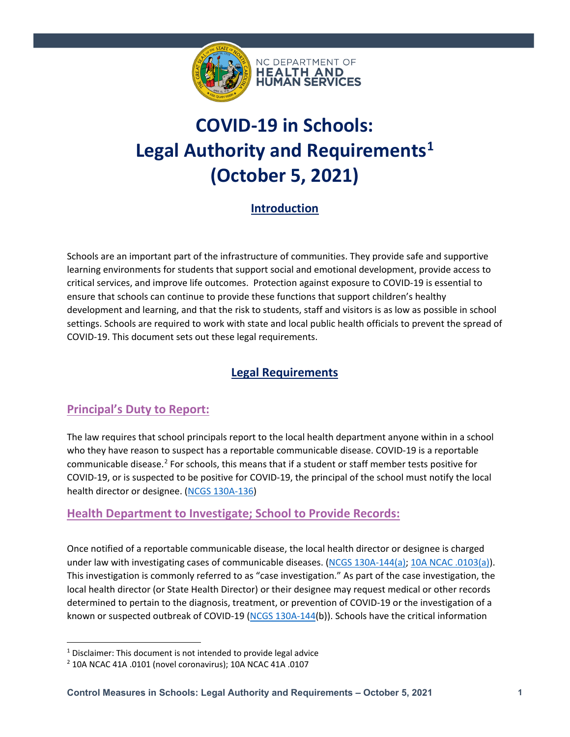

# **COVID-19 in Schools: Legal Authority and Requirements[1](#page-0-0) (October 5, 2021)**

## **Introduction**

Schools are an important part of the infrastructure of communities. They provide safe and supportive learning environments for students that support social and emotional development, provide access to critical services, and improve life outcomes. Protection against exposure to COVID-19 is essential to ensure that schools can continue to provide these functions that support children's healthy development and learning, and that the risk to students, staff and visitors is as low as possible in school settings. Schools are required to work with state and local public health officials to prevent the spread of COVID-19. This document sets out these legal requirements.

# **Legal Requirements**

### **Principal's Duty to Report:**

The law requires that school principals report to the local health department anyone within in a school who they have reason to suspect has a reportable communicable disease. COVID-19 is a reportable communicable disease.<sup>[2](#page-0-1)</sup> For schools, this means that if a student or staff member tests positive for COVID-19, or is suspected to be positive for COVID-19, the principal of the school must notify the local health director or designee. [\(NCGS 130A-136\)](https://www.ncleg.net/enactedlegislation/statutes/html/bysection/chapter_130a/gs_130a-136.html)

#### **Health Department to Investigate; School to Provide Records:**

Once notified of a reportable communicable disease, the local health director or designee is charged under law with investigating cases of communicable diseases. [\(NCGS 130A-144\(a\);](https://www.ncleg.gov/EnactedLegislation/Statutes/PDF/BySection/Chapter_130A/GS_130A-144.pdf) [10A NCAC .0103\(a\)\)](http://reports.oah.state.nc.us/ncac/title%2010a%20-%20health%20and%20human%20services/chapter%2041%20-%20epidemiology%20health/subchapter%20a/10a%20ncac%2041a%20.0103.pdf). This investigation is commonly referred to as "case investigation." As part of the case investigation, the local health director (or State Health Director) or their designee may request medical or other records determined to pertain to the diagnosis, treatment, or prevention of COVID-19 or the investigation of a known or suspected outbreak of COVID-19 [\(NCGS 130A-144\(](https://www.ncleg.gov/EnactedLegislation/Statutes/PDF/BySection/Chapter_130A/GS_130A-144.pdf)b)). Schools have the critical information

<span id="page-0-0"></span> $1$  Disclaimer: This document is not intended to provide legal advice

<span id="page-0-1"></span><sup>2</sup> 10A NCAC 41A .0101 (novel coronavirus); 10A NCAC 41A .0107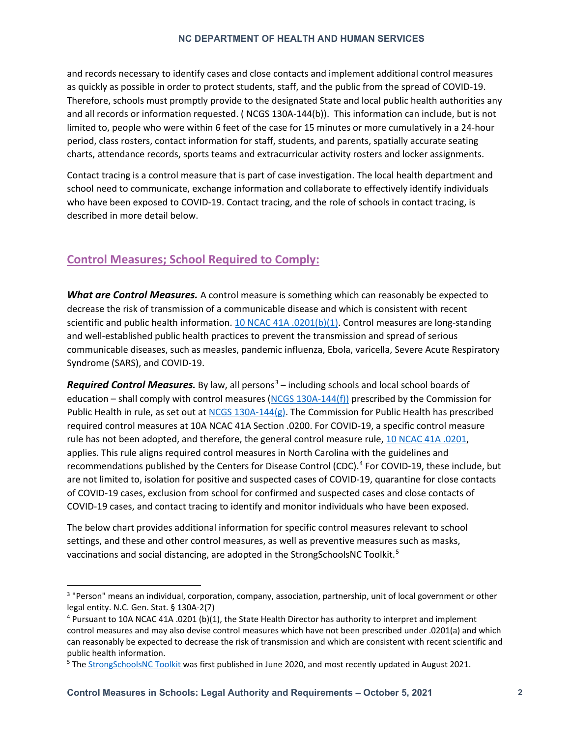#### **NC DEPARTMENT OF HEALTH AND HUMAN SERVICES**

and records necessary to identify cases and close contacts and implement additional control measures as quickly as possible in order to protect students, staff, and the public from the spread of COVID-19. Therefore, schools must promptly provide to the designated State and local public health authorities any and all records or information requested. [\( NCGS 130A-144\(](https://www.ncleg.gov/EnactedLegislation/Statutes/PDF/BySection/Chapter_130A/GS_130A-144.pdf)b)). This information can include, but is not limited to, people who were within 6 feet of the case for 15 minutes or more cumulatively in a 24-hour period, class rosters, contact information for staff, students, and parents, spatially accurate seating charts, attendance records, sports teams and extracurricular activity rosters and locker assignments.

Contact tracing is a control measure that is part of case investigation. The local health department and school need to communicate, exchange information and collaborate to effectively identify individuals who have been exposed to COVID-19. Contact tracing, and the role of schools in contact tracing, is described in more detail below.

### **Control Measures; School Required to Comply:**

*What are Control Measures.* A control measure is something which can reasonably be expected to decrease the risk of transmission of a communicable disease and which is consistent with recent scientific and public health information. [10 NCAC 41A .0201\(b\)\(1\).](http://reports.oah.state.nc.us/ncac/title%2010a%20-%20health%20and%20human%20services/chapter%2041%20-%20epidemiology%20health/subchapter%20a/10a%20ncac%2041a%20.0201.pdf) Control measures are long-standing and well-established public health practices to prevent the transmission and spread of serious communicable diseases, such as measles, pandemic influenza, Ebola, varicella, Severe Acute Respiratory Syndrome (SARS), and COVID-19.

*Required Control Measures.* By law, all persons<sup>[3](#page-1-0)</sup> – including schools and local school boards of education – shall comply with control measures [\(NCGS 130A-144\(f\)\)](https://www.ncleg.gov/EnactedLegislation/Statutes/PDF/BySection/Chapter_130A/GS_130A-144.pdf) prescribed by the Commission for Public Health in rule, as set out at [NCGS 130A-144\(g\).](https://www.ncleg.gov/EnactedLegislation/Statutes/PDF/BySection/Chapter_130A/GS_130A-144.pdf) The Commission for Public Health has prescribed required control measures at 10A NCAC 41A Section .0200. For COVID-19, a specific control measure rule has not been adopted, and therefore, the general control measure rule, [10 NCAC 41A .0201,](http://reports.oah.state.nc.us/ncac/title%2010a%20-%20health%20and%20human%20services/chapter%2041%20-%20epidemiology%20health/subchapter%20a/10a%20ncac%2041a%20.0201.pdf) applies. This rule aligns required control measures in North Carolina with the guidelines and recommendations published by the Centers for Disease Control (CDC). [4](#page-1-1) For COVID-19, these include, but are not limited to, isolation for positive and suspected cases of COVID-19, quarantine for close contacts of COVID-19 cases, exclusion from school for confirmed and suspected cases and close contacts of COVID-19 cases, and contact tracing to identify and monitor individuals who have been exposed.

The below chart provides additional information for specific control measures relevant to school settings, and these and other control measures, as well as preventive measures such as masks, vaccinations and social distancing, are adopted in the StrongSchoolsNC Toolkit.<sup>[5](#page-1-2)</sup>

<span id="page-1-0"></span><sup>&</sup>lt;sup>3</sup> "Person" means an individual, corporation, company, association, partnership, unit of local government or other legal entity. N.C. Gen. Stat. § 130A-2(7)

<span id="page-1-1"></span><sup>4</sup> Pursuant to 10A NCAC 41A .0201 (b)(1), the State Health Director has authority to interpret and implement control measures and may also devise control measures which have not been prescribed under .0201(a) and which can reasonably be expected to decrease the risk of transmission and which are consistent with recent scientific and public health information.

<span id="page-1-2"></span><sup>5</sup> The [StrongSchoolsNC Toolkit w](https://covid19.ncdhhs.gov/media/164/open)as first published in June 2020, and most recently updated in August 2021.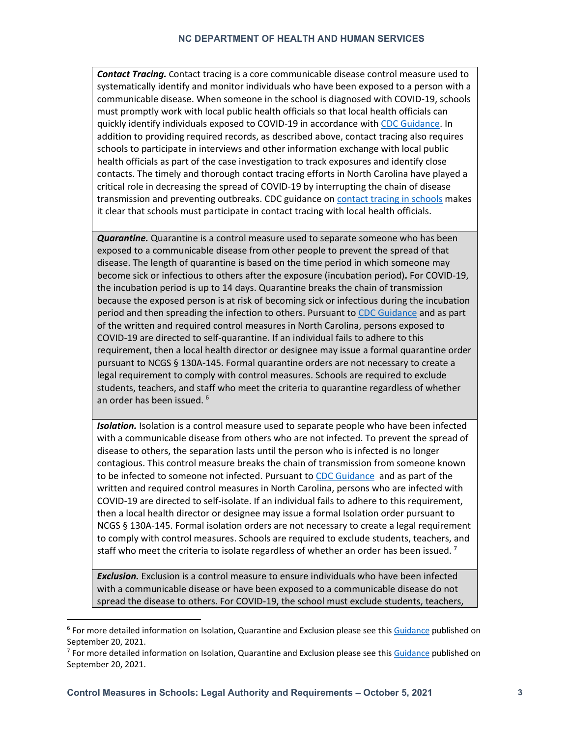*Contact Tracing.* Contact tracing is a core communicable disease control measure used to systematically identify and monitor individuals who have been exposed to a person with a communicable disease. When someone in the school is diagnosed with COVID-19, schools must promptly work with local public health officials so that local health officials can quickly identify individuals exposed to COVID-19 in accordance with [CDC Guidance.](https://www.cdc.gov/coronavirus/2019-ncov/community/schools-childcare/contact-tracing.html) In addition to providing required records, as described above, contact tracing also requires schools to participate in interviews and other information exchange with local public health officials as part of the case investigation to track exposures and identify close contacts. The timely and thorough contact tracing efforts in North Carolina have played a critical role in decreasing the spread of COVID-19 by interrupting the chain of disease transmission and preventing outbreaks. CDC guidance on [contact tracing in schools](https://www.cdc.gov/coronavirus/2019-ncov/community/schools-childcare/k-12-contact-tracing/guide.html) makes it clear that schools must participate in contact tracing with local health officials.

*Quarantine.* Quarantine is a control measure used to separate someone who has been exposed to a communicable disease from other people to prevent the spread of that disease. The length of quarantine is based on the time period in which someone may become sick or infectious to others after the exposure (incubation period)**.** For COVID-19, the incubation period is up to 14 days. Quarantine breaks the chain of transmission because the exposed person is at risk of becoming sick or infectious during the incubation period and then spreading the infection to others. Pursuant to [CDC Guidance](https://www.cdc.gov/coronavirus/2019-ncov/community/schools-childcare/k-12-contact-tracing/about-quarantine.html) and as part of the written and required control measures in North Carolina, persons exposed to COVID-19 are directed to self-quarantine. If an individual fails to adhere to this requirement, then a local health director or designee may issue a formal quarantine order pursuant to NCGS § 130A-145. Formal quarantine orders are not necessary to create a legal requirement to comply with control measures. Schools are required to exclude students, teachers, and staff who meet the criteria to quarantine regardless of whether an order has been issued.<sup>[6](#page-2-0)</sup>

*Isolation.* Isolation is a control measure used to separate people who have been infected with a communicable disease from others who are not infected. To prevent the spread of disease to others, the separation lasts until the person who is infected is no longer contagious. This control measure breaks the chain of transmission from someone known to be infected to someone not infected. Pursuant to [CDC Guidance](https://www.cdc.gov/coronavirus/2019-ncov/community/schools-childcare/k-12-contact-tracing/about-isolation.html) and as part of the written and required control measures in North Carolina, persons who are infected with COVID-19 are directed to self-isolate. If an individual fails to adhere to this requirement, then a local health director or designee may issue a formal Isolation order pursuant to NCGS § 130A-145. Formal isolation orders are not necessary to create a legal requirement to comply with control measures. Schools are required to exclude students, teachers, and staff who meet the criteria to isolate regardless of whether an order has been issued.<sup>[7](#page-2-1)</sup>

*Exclusion.* Exclusion is a control measure to ensure individuals who have been infected with a communicable disease or have been exposed to a communicable disease do not spread the disease to others. For COVID-19, the school must exclude students, teachers,

<span id="page-2-0"></span><sup>6</sup> For more detailed information on Isolation, Quarantine and Exclusion please see thi[s Guidance](https://covid19.ncdhhs.gov/media/3259/download?attachment) published on September 20, 2021.

<span id="page-2-1"></span><sup>&</sup>lt;sup>7</sup> For more detailed information on Isolation, Quarantine and Exclusion please see thi[s Guidance](https://covid19.ncdhhs.gov/media/3259/download?attachment) published on September 20, 2021.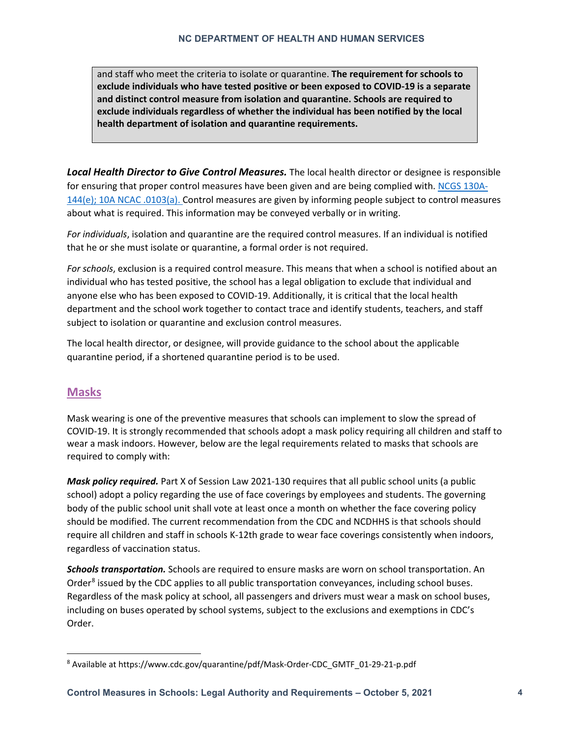and staff who meet the criteria to isolate or quarantine. **The requirement for schools to exclude individuals who have tested positive or been exposed to COVID-19 is a separate and distinct control measure from isolation and quarantine. Schools are required to exclude individuals regardless of whether the individual has been notified by the local health department of isolation and quarantine requirements.**

*Local Health Director to Give Control Measures.* The local health director or designee is responsible for ensuring that proper control measures have been given and are being complied with[. NCGS](https://www.ncleg.gov/EnactedLegislation/Statutes/PDF/BySection/Chapter_130A/GS_130A-144.pdf) 130A-[144\(e\);](https://www.ncleg.gov/EnactedLegislation/Statutes/PDF/BySection/Chapter_130A/GS_130A-144.pdf) [10A NCAC .0103\(a\).](http://reports.oah.state.nc.us/ncac/title%2010a%20-%20health%20and%20human%20services/chapter%2041%20-%20epidemiology%20health/subchapter%20a/10a%20ncac%2041a%20.0103.pdf) Control measures are given by informing people subject to control measures about what is required. This information may be conveyed verbally or in writing.

*For individuals*, isolation and quarantine are the required control measures. If an individual is notified that he or she must isolate or quarantine, a formal order is not required.

*For schools*, exclusion is a required control measure. This means that when a school is notified about an individual who has tested positive, the school has a legal obligation to exclude that individual and anyone else who has been exposed to COVID-19. Additionally, it is critical that the local health department and the school work together to contact trace and identify students, teachers, and staff subject to isolation or quarantine and exclusion control measures.

The local health director, or designee, will provide guidance to the school about the applicable quarantine period, if a shortened quarantine period is to be used.

#### **Masks**

Mask wearing is one of the preventive measures that schools can implement to slow the spread of COVID-19. It is strongly recommended that schools adopt a mask policy requiring all children and staff to wear a mask indoors. However, below are the legal requirements related to masks that schools are required to comply with:

*Mask policy required.* Part X of Session Law 2021-130 requires that all public school units (a public school) adopt a policy regarding the use of face coverings by employees and students. The governing body of the public school unit shall vote at least once a month on whether the face covering policy should be modified. The current recommendation from the CDC and NCDHHS is that schools should require all children and staff in schools K-12th grade to wear face coverings consistently when indoors, regardless of vaccination status.

*Schools transportation.* Schools are required to ensure masks are worn on school transportation. An Order<sup>[8](#page-3-0)</sup> issued by the CDC applies to all public transportation conveyances, including school buses. Regardless of the mask policy at school, all passengers and drivers must wear a mask on school buses, including on buses operated by school systems, subject to the exclusions and exemptions in CDC's Order.

<span id="page-3-0"></span><sup>8</sup> Available at https://www.cdc.gov/quarantine/pdf/Mask-Order-CDC\_GMTF\_01-29-21-p.pdf